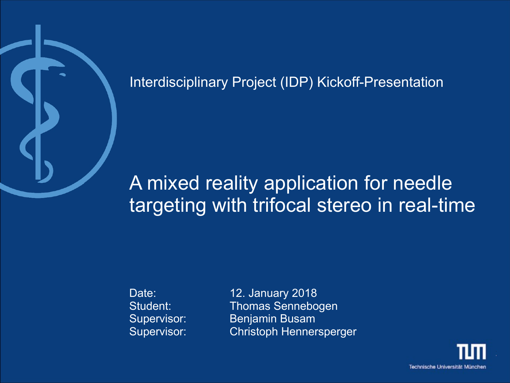

Interdisciplinary Project (IDP) Kickoff-Presentation

# A mixed reality application for needle targeting with trifocal stereo in real-time

Date: 12. January 2018 Student: Thomas Sennebogen Supervisor: Benjamin Busam Supervisor: Christoph Hennersperger

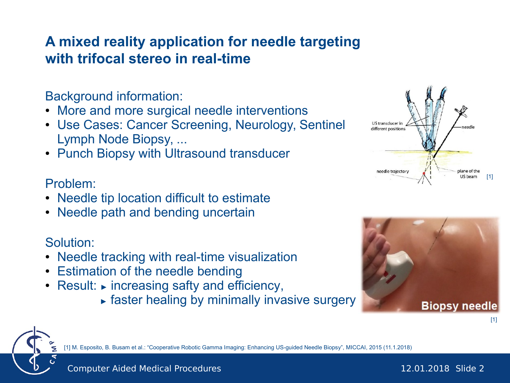# **A mixed reality application for needle targeting with trifocal stereo in real-time**

Background information:

- More and more surgical needle interventions
- Use Cases: Cancer Screening, Neurology, Sentinel Lymph Node Biopsy, ...
- Punch Biopsy with Ultrasound transducer

#### Problem:

- Needle tip location difficult to estimate
- Needle path and bending uncertain

### Solution:

- Needle tracking with real-time visualization
- Estimation of the needle bending
- Result: ► increasing safty and efficiency,
	- ► faster healing by minimally invasive surgery





[1] M. Esposito, B. Busam et al.: "Cooperative Robotic Gamma Imaging: Enhancing US-guided Needle Biopsy", MICCAI, 2015 (11.1.2018)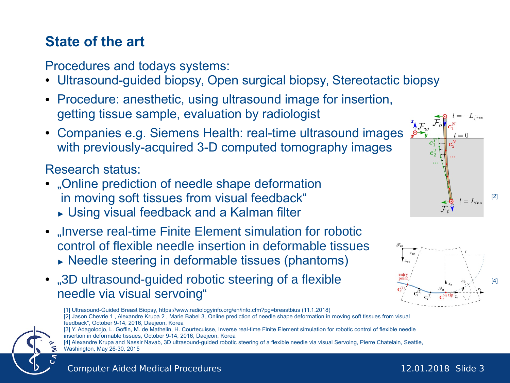Procedures and todays systems:

- Ultrasound-guided biopsy, Open surgical biopsy, Stereotactic biopsy
- Procedure: anesthetic, using ultrasound image for insertion, getting tissue sample, evaluation by radiologist
- Companies e.g. Siemens Health: real-time ultrasound images with previously-acquired 3-D computed tomography images

## Research status:

- "Online prediction of needle shape deformation in moving soft tissues from visual feedback"
	- ► Using visual feedback and a Kalman filter
- ..Inverse real-time Finite Element simulation for robotic control of flexible needle insertion in deformable tissues ► Needle steering in deformable tissues (phantoms)
- .3D ultrasound-quided robotic steering of a flexible needle via visual servoing"

[1] Ultrasound-Guided Breast Biopsy, https://www.radiologyinfo.org/en/info.cfm?pg=breastbius (11.1.2018) [2] Jason Chevrie 1, Alexandre Krupa 2, Marie Babel 3, Online prediction of needle shape deformation in moving soft tissues from visual

feedback", October 9-14, 2016, Daejeon, Korea [3] Y. Adagolodjo, L. Goffin, M. de Mathelin, H. Courtecuisse, Inverse real-time Finite Element simulation for robotic control of flexible needle insertion in deformable tissues, October 9-14, 2016, Daejeon, Korea

[4] Alexandre Krupa and Nassir Navab, 3D ultrasound-guided robotic steering of a flexible needle via visual Servoing, Pierre Chatelain, Seattle, Washington, May 26-30, 2015

 $l = L_{ins}$ 

[2]



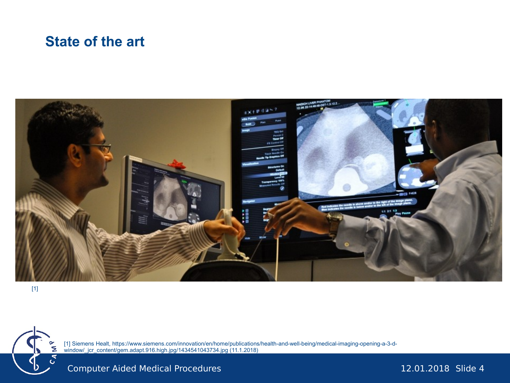#### **State of the art**



[1] Siemens Healt, https://www.siemens.com/innovation/en/home/publications/health-and-well-being/medical-imaging-opening-a-3-d-Ξ window/\_jcr\_content/gem.adapt.916.high.jpg/1434541043734.jpg (11.1.2018)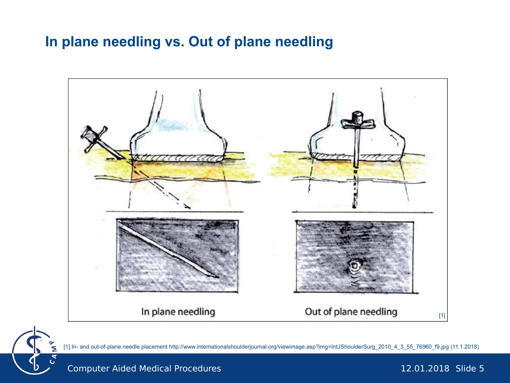# **In plane needling vs. Out of plane needling**





[1] In- and out-of-plane needle placement http://www.internationalshoulderjournal.org/viewimage.asp?img=IntJShoulderSurg\_2010\_4\_3\_55\_76960\_f9.jpg (11.1.2018)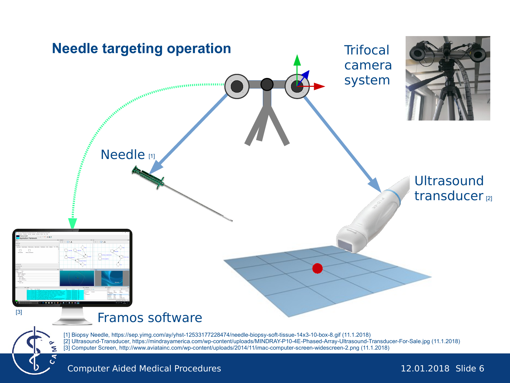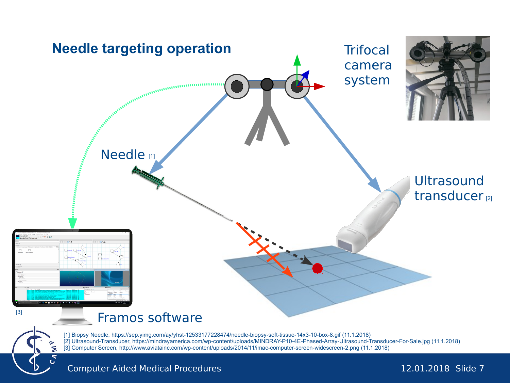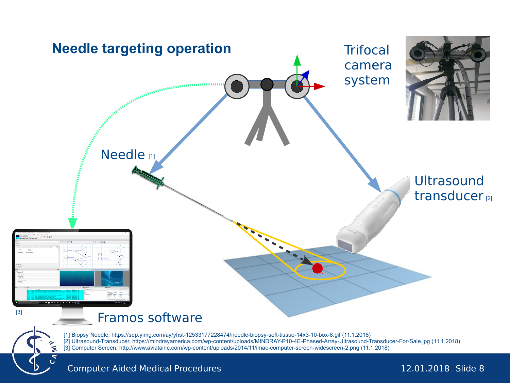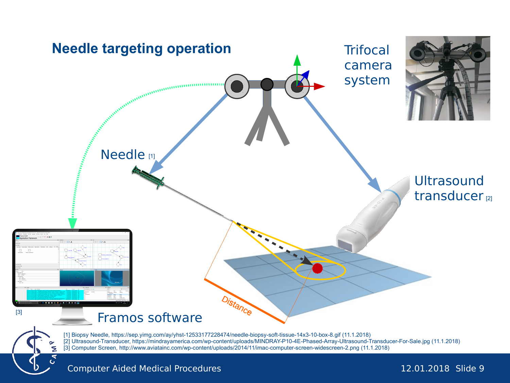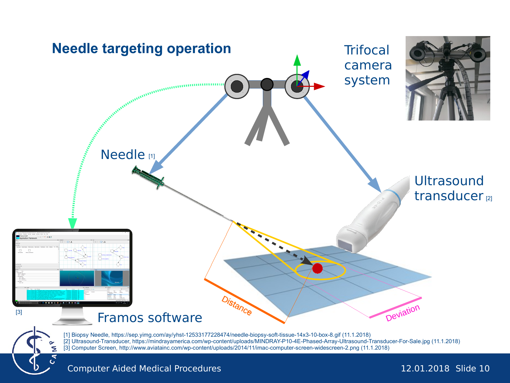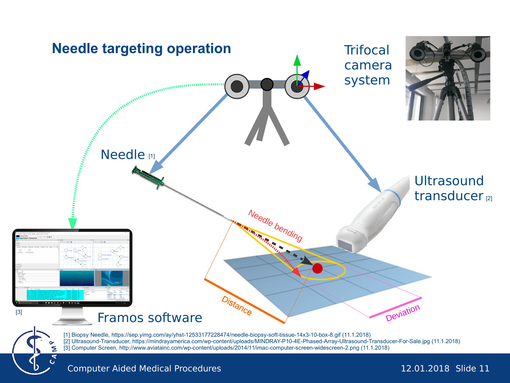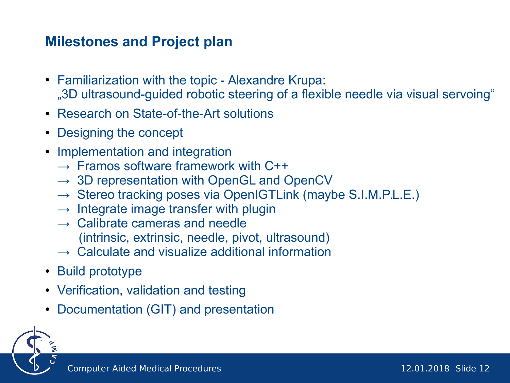# **Milestones and Project plan**

- Familiarization with the topic Alexandre Krupa: "3D ultrasound-guided robotic steering of a flexible needle via visual servoing"
- Research on State-of-the-Art solutions
- Designing the concept
- Implementation and integration
	- $\rightarrow$  Framos software framework with C++
	- $\rightarrow$  3D representation with OpenGL and OpenCV
	- $\rightarrow$  Stereo tracking poses via OpenIGTLink (maybe S.I.M.P.L.E.)
	- $\rightarrow$  Integrate image transfer with plugin
	- $\rightarrow$  Calibrate cameras and needle (intrinsic, extrinsic, needle, pivot, ultrasound)
	- $\rightarrow$  Calculate and visualize additional information
- Build prototype
- Verification, validation and testing
- Documentation (GIT) and presentation

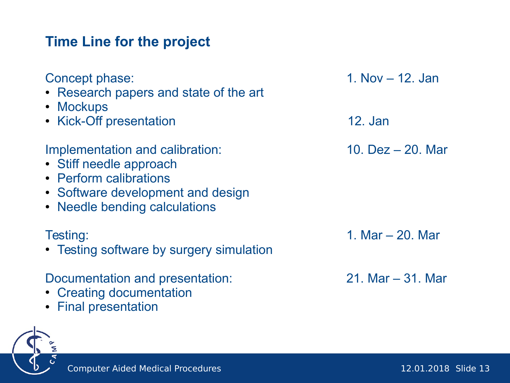# **Time Line for the project**

| Concept phase:<br>• Research papers and state of the art<br>• Mockups                                                                                      | 1. Nov $-$ 12. Jan   |
|------------------------------------------------------------------------------------------------------------------------------------------------------------|----------------------|
| • Kick-Off presentation                                                                                                                                    | 12. Jan              |
| Implementation and calibration:<br>• Stiff needle approach<br>• Perform calibrations<br>• Software development and design<br>• Needle bending calculations | 10. $Dez - 20$ . Mar |
| Testing:<br>• Testing software by surgery simulation                                                                                                       | 1. Mar – 20. Mar     |
| Documentation and presentation:<br>• Creating documentation<br>• Final presentation                                                                        | 21. Mar $-31$ . Mar  |

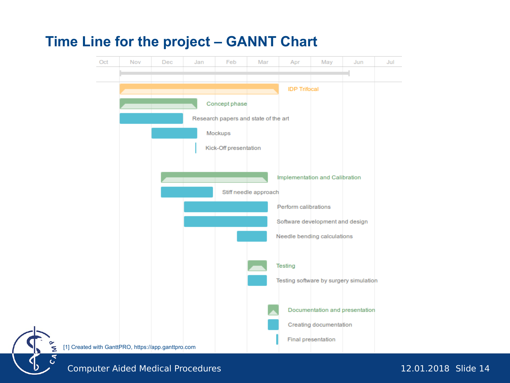## **Time Line for the project – GANNT Chart**

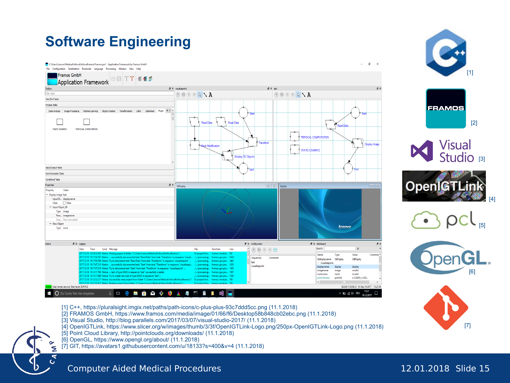

- [1] C++, https://pluralsight.imgix.net/paths/path-icons/c-plus-plus-93c7ddd5cc.png (11.1.2018)
- [2] FRAMOS GmbH, https://www.framos.com/media/image/01/66/f6/Desktop58b848cb02ebc.png (11.1.2018)
- [3] Visual Studio, http://blog.parallels.com/2017/03/07/visual-studio-2017/ (11.1.2018)
- [4] OpenIGTLink, https://www.slicer.org/w/images/thumb/3/3f/OpenIGTLink-Logo.png/250px-OpenIGTLink-Logo.png (11.1.2018)
- [5] Point Cloud Library, http://pointclouds.org/downloads/ (11.1.2018)
- [6] OpenGL, https://www.opengl.org/about/ (11.1.2018)

Ź  $C_{\mathcal{A}}$  [7] GIT, https://avatars1.githubusercontent.com/u/18133?s=400&v=4 (11.1.2018)

[7]

[4]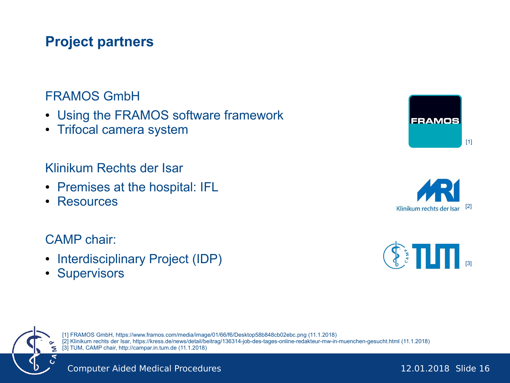# **Project partners**

### FRAMOS GmbH

- Using the FRAMOS software framework
- Trifocal camera system

#### Klinikum Rechts der Isar

- Premises at the hospital: IFL
- **Resources**

#### CAMP chair:

- Interdisciplinary Project (IDP)
- Supervisors







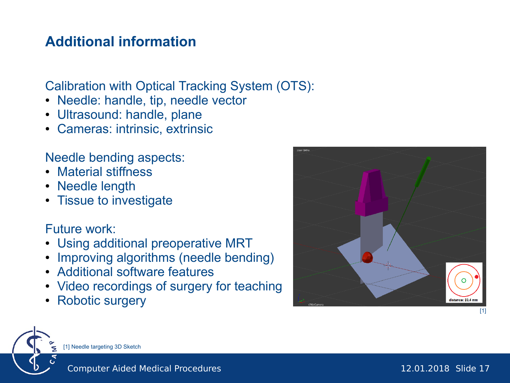# **Additional information**

Calibration with Optical Tracking System (OTS):

- Needle: handle, tip, needle vector
- Ultrasound: handle, plane
- Cameras: intrinsic, extrinsic

Needle bending aspects:

- Material stiffness
- Needle length
- Tissue to investigate

Future work:

- Using additional preoperative MRT
- Improving algorithms (needle bending)
- Additional software features
- Video recordings of surgery for teaching
- Robotic surgery